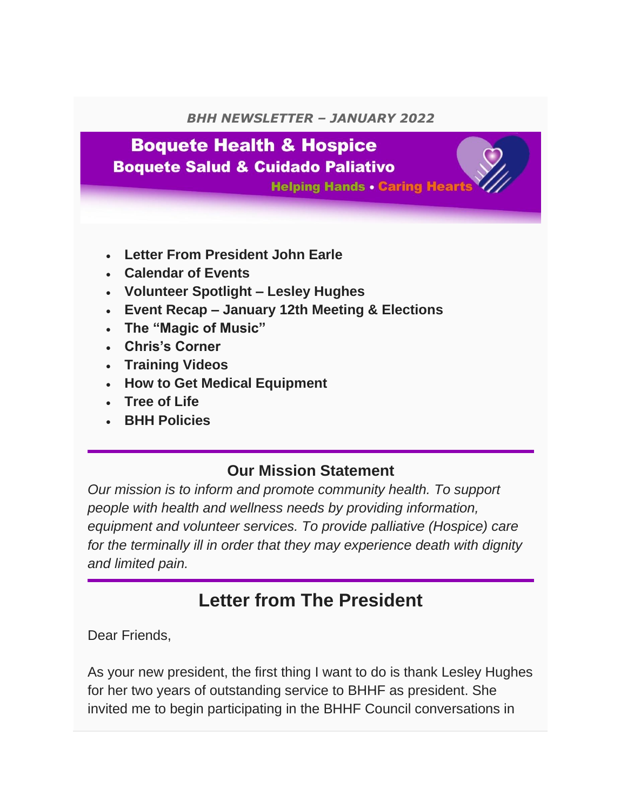#### *BHH NEWSLETTER – JANUARY 2022*

## **Boquete Health & Hospice**

**Boquete Salud & Cuidado Paliativo** 

**Helping Hands . Caring Hear** 

- **Letter From President John Earle**
- **Calendar of Events**
- **Volunteer Spotlight – Lesley Hughes**
- **Event Recap – January 12th Meeting & Elections**
- **The "Magic of Music"**
- **Chris's Corner**
- **Training Videos**
- **How to Get Medical Equipment**
- **Tree of Life**
- **BHH Policies**

### **Our Mission Statement**

*Our mission is to inform and promote community health. To support people with health and wellness needs by providing information, equipment and volunteer services. To provide palliative (Hospice) care for the terminally ill in order that they may experience death with dignity and limited pain.*

### **Letter from The President**

Dear Friends,

As your new president, the first thing I want to do is thank Lesley Hughes for her two years of outstanding service to BHHF as president. She invited me to begin participating in the BHHF Council conversations in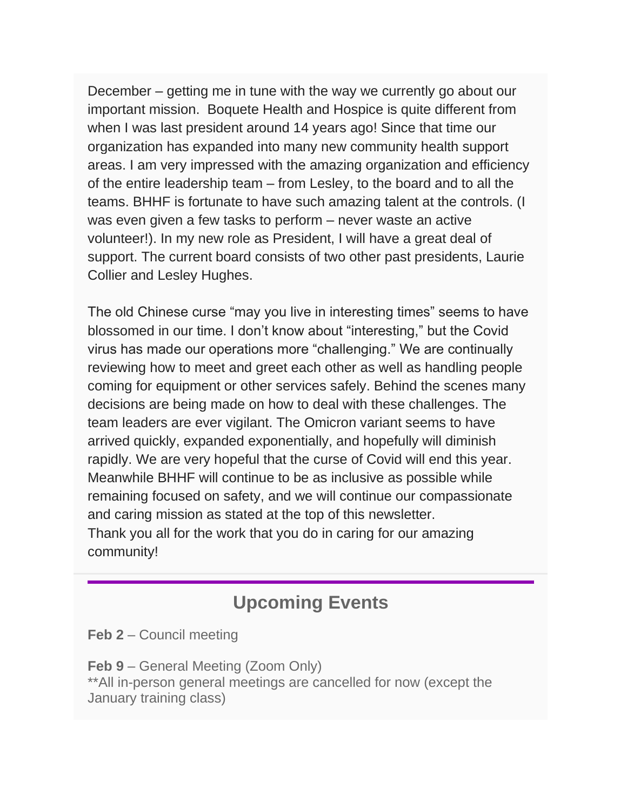December – getting me in tune with the way we currently go about our important mission. Boquete Health and Hospice is quite different from when I was last president around 14 years ago! Since that time our organization has expanded into many new community health support areas. I am very impressed with the amazing organization and efficiency of the entire leadership team – from Lesley, to the board and to all the teams. BHHF is fortunate to have such amazing talent at the controls. (I was even given a few tasks to perform – never waste an active volunteer!). In my new role as President, I will have a great deal of support. The current board consists of two other past presidents, Laurie Collier and Lesley Hughes.

The old Chinese curse "may you live in interesting times" seems to have blossomed in our time. I don't know about "interesting," but the Covid virus has made our operations more "challenging." We are continually reviewing how to meet and greet each other as well as handling people coming for equipment or other services safely. Behind the scenes many decisions are being made on how to deal with these challenges. The team leaders are ever vigilant. The Omicron variant seems to have arrived quickly, expanded exponentially, and hopefully will diminish rapidly. We are very hopeful that the curse of Covid will end this year. Meanwhile BHHF will continue to be as inclusive as possible while remaining focused on safety, and we will continue our compassionate and caring mission as stated at the top of this newsletter. Thank you all for the work that you do in caring for our amazing community!

### **Upcoming Events**

**Feb 2** – Council meeting

**Feb 9** – General Meeting (Zoom Only) \*\*All in-person general meetings are cancelled for now (except the January training class)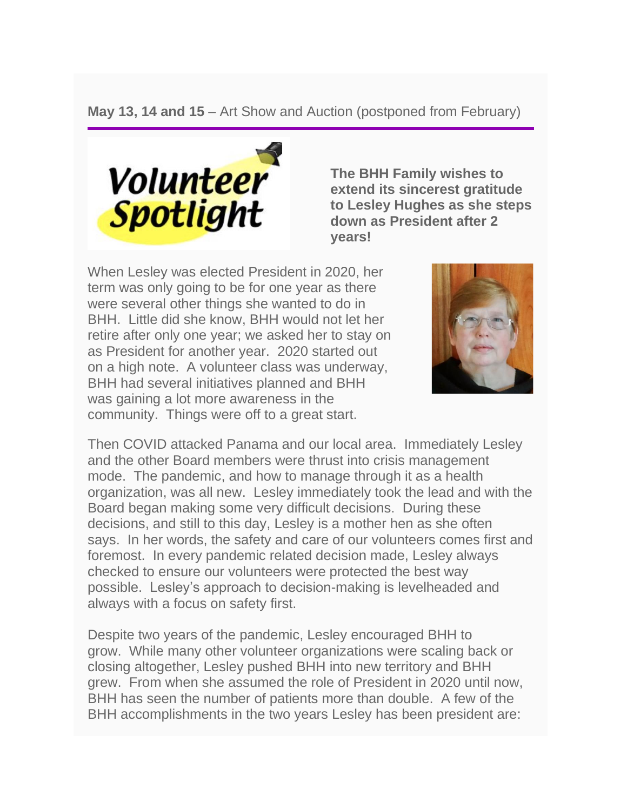**May 13, 14 and 15** – Art Show and Auction (postponed from February)



**The BHH Family wishes to extend its sincerest gratitude to Lesley Hughes as she steps down as President after 2 years!**

When Lesley was elected President in 2020, her term was only going to be for one year as there were several other things she wanted to do in BHH. Little did she know, BHH would not let her retire after only one year; we asked her to stay on as President for another year. 2020 started out on a high note. A volunteer class was underway, BHH had several initiatives planned and BHH was gaining a lot more awareness in the community. Things were off to a great start.



Then COVID attacked Panama and our local area. Immediately Lesley and the other Board members were thrust into crisis management mode. The pandemic, and how to manage through it as a health organization, was all new. Lesley immediately took the lead and with the Board began making some very difficult decisions. During these decisions, and still to this day, Lesley is a mother hen as she often says. In her words, the safety and care of our volunteers comes first and foremost. In every pandemic related decision made, Lesley always checked to ensure our volunteers were protected the best way possible. Lesley's approach to decision-making is levelheaded and always with a focus on safety first.

Despite two years of the pandemic, Lesley encouraged BHH to grow. While many other volunteer organizations were scaling back or closing altogether, Lesley pushed BHH into new territory and BHH grew. From when she assumed the role of President in 2020 until now, BHH has seen the number of patients more than double. A few of the BHH accomplishments in the two years Lesley has been president are: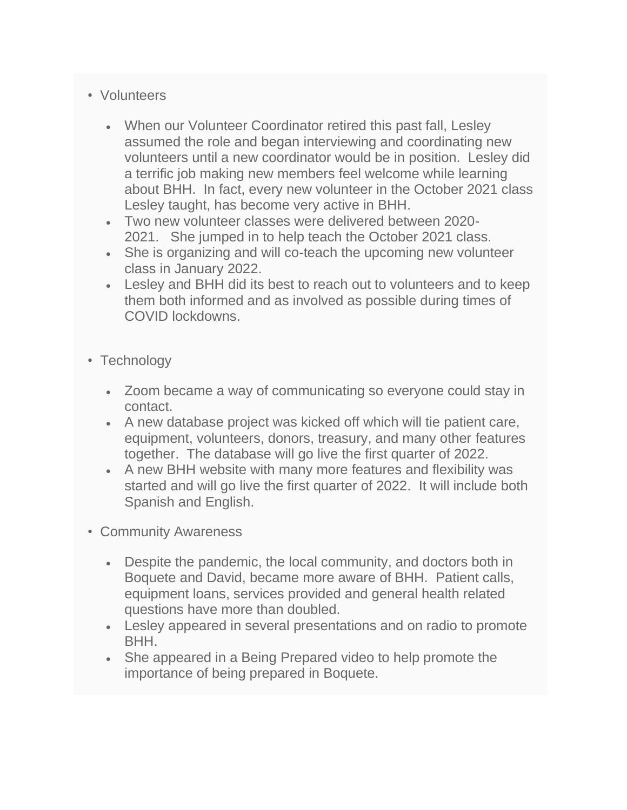#### • Volunteers

- When our Volunteer Coordinator retired this past fall, Lesley assumed the role and began interviewing and coordinating new volunteers until a new coordinator would be in position. Lesley did a terrific job making new members feel welcome while learning about BHH. In fact, every new volunteer in the October 2021 class Lesley taught, has become very active in BHH.
- Two new volunteer classes were delivered between 2020- 2021. She jumped in to help teach the October 2021 class.
- She is organizing and will co-teach the upcoming new volunteer class in January 2022.
- Lesley and BHH did its best to reach out to volunteers and to keep them both informed and as involved as possible during times of COVID lockdowns.
- Technology
	- Zoom became a way of communicating so everyone could stay in contact.
	- A new database project was kicked off which will tie patient care, equipment, volunteers, donors, treasury, and many other features together. The database will go live the first quarter of 2022.
	- A new BHH website with many more features and flexibility was started and will go live the first quarter of 2022. It will include both Spanish and English.
- Community Awareness
	- Despite the pandemic, the local community, and doctors both in Boquete and David, became more aware of BHH. Patient calls, equipment loans, services provided and general health related questions have more than doubled.
	- Lesley appeared in several presentations and on radio to promote BHH.
	- She appeared in a Being Prepared video to help promote the importance of being prepared in Boquete.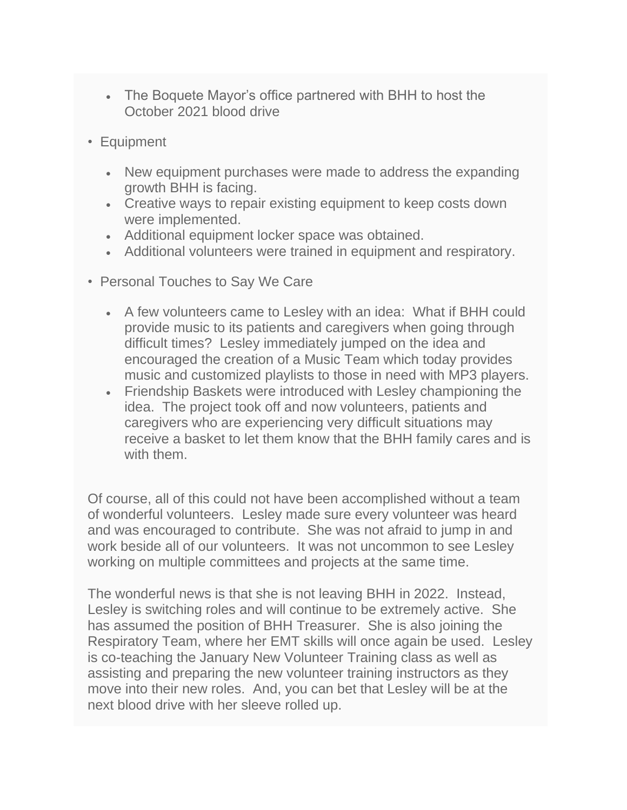- The Boquete Mayor's office partnered with BHH to host the October 2021 blood drive
- Equipment
	- New equipment purchases were made to address the expanding growth BHH is facing.
	- Creative ways to repair existing equipment to keep costs down were implemented.
	- Additional equipment locker space was obtained.
	- Additional volunteers were trained in equipment and respiratory.
- Personal Touches to Say We Care
	- A few volunteers came to Lesley with an idea: What if BHH could provide music to its patients and caregivers when going through difficult times? Lesley immediately jumped on the idea and encouraged the creation of a Music Team which today provides music and customized playlists to those in need with MP3 players.
	- Friendship Baskets were introduced with Lesley championing the idea. The project took off and now volunteers, patients and caregivers who are experiencing very difficult situations may receive a basket to let them know that the BHH family cares and is with them.

Of course, all of this could not have been accomplished without a team of wonderful volunteers. Lesley made sure every volunteer was heard and was encouraged to contribute. She was not afraid to jump in and work beside all of our volunteers. It was not uncommon to see Lesley working on multiple committees and projects at the same time.

The wonderful news is that she is not leaving BHH in 2022. Instead, Lesley is switching roles and will continue to be extremely active. She has assumed the position of BHH Treasurer. She is also joining the Respiratory Team, where her EMT skills will once again be used. Lesley is co-teaching the January New Volunteer Training class as well as assisting and preparing the new volunteer training instructors as they move into their new roles. And, you can bet that Lesley will be at the next blood drive with her sleeve rolled up.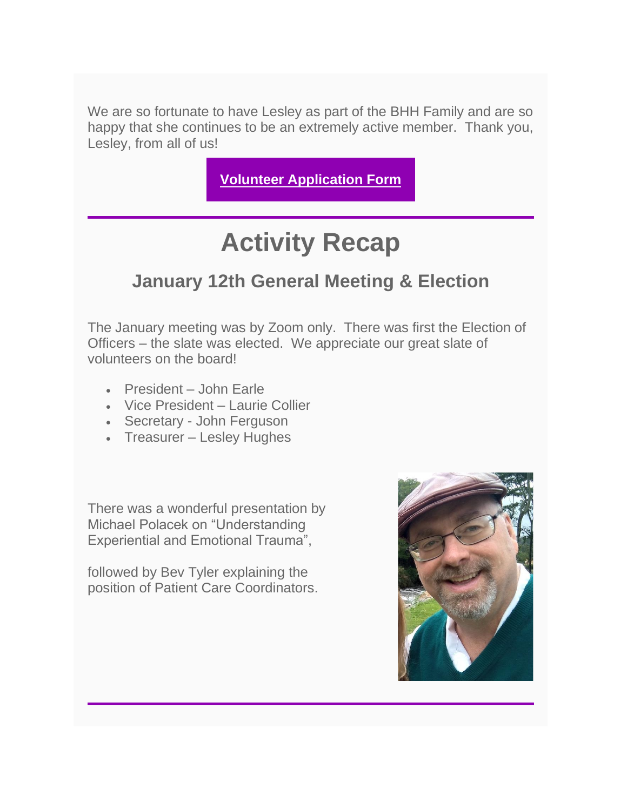We are so fortunate to have Lesley as part of the BHH Family and are so happy that she continues to be an extremely active member. Thank you, Lesley, from all of us!

**[Volunteer Application Form](https://www.boquetehealthandhospice.org/volunteer.html)**

# **Activity Recap**

### **January 12th General Meeting & Election**

The January meeting was by Zoom only. There was first the Election of Officers – the slate was elected. We appreciate our great slate of volunteers on the board!

- President John Earle
- Vice President Laurie Collier
- Secretary John Ferguson
- Treasurer Lesley Hughes

There was a wonderful presentation by Michael Polacek on "Understanding Experiential and Emotional Trauma",

followed by Bev Tyler explaining the position of Patient Care Coordinators.

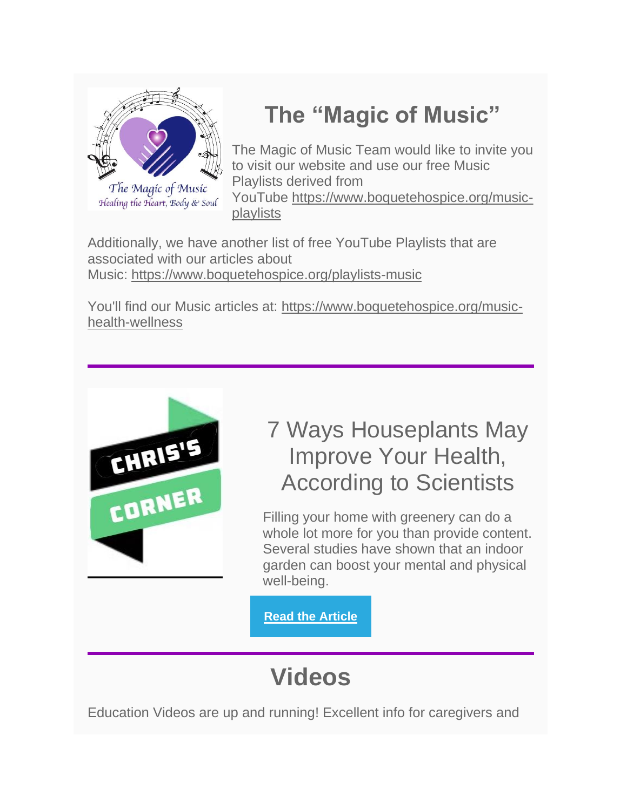

## **The "Magic of Music"**

The Magic of Music Team would like to invite you to visit our website and use our free Music Playlists derived from YouTube [https://www.boquetehospice.org/music](https://www.boquetehospice.org/music-playlists)[playlists](https://www.boquetehospice.org/music-playlists)

Additionally, we have another list of free YouTube Playlists that are associated with our articles about Music: <https://www.boquetehospice.org/playlists-music>

You'll find our Music articles at: [https://www.boquetehospice.org/music](https://www.boquetehospice.org/music-health-wellness)[health-wellness](https://www.boquetehospice.org/music-health-wellness)



## 7 Ways Houseplants May Improve Your Health, According to Scientists

Filling your home with greenery can do a whole lot more for you than provide content. Several studies have shown that an indoor garden can boost your mental and physical well-being.

**[Read the Article](https://www.bhg.com/gardening/houseplants/houseplants-improve-health/?did=725949-20220115&cmp=bhggetgrowing_011522&utm_campaign=bhg-get-growing_newsletter&utm_source=bhg.com&utm_medium=email&utm_content=011522&cid=725949&mid=77141709129&lctg=17513979)**

# **Videos**

Education Videos are up and running! Excellent info for caregivers and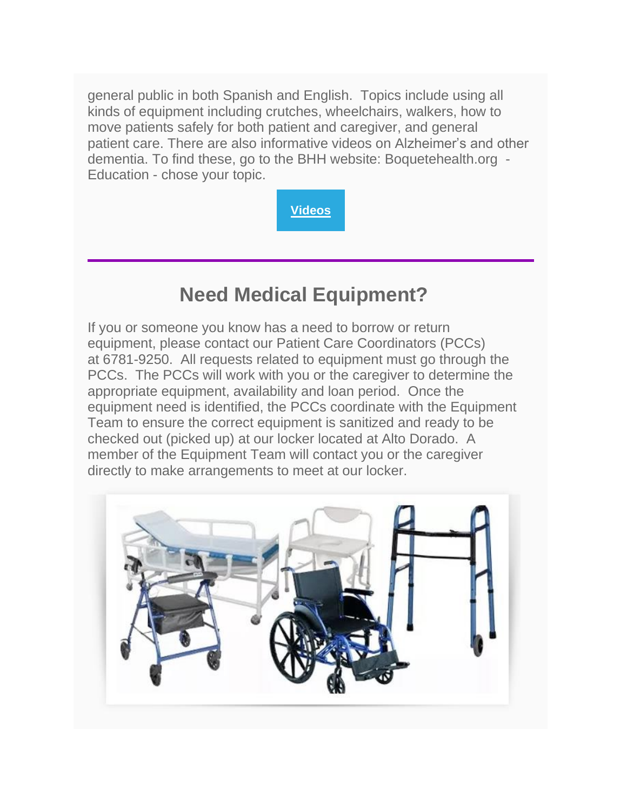general public in both Spanish and English. Topics include using all kinds of equipment including crutches, wheelchairs, walkers, how to move patients safely for both patient and caregiver, and general patient care. There are also informative videos on Alzheimer's and other dementia. To find these, go to the BHH website: Boquetehealth.org - Education - chose your topic.



## **Need Medical Equipment?**

If you or someone you know has a need to borrow or return equipment, please contact our Patient Care Coordinators (PCCs) at 6781-9250. All requests related to equipment must go through the PCCs. The PCCs will work with you or the caregiver to determine the appropriate equipment, availability and loan period. Once the equipment need is identified, the PCCs coordinate with the Equipment Team to ensure the correct equipment is sanitized and ready to be checked out (picked up) at our locker located at Alto Dorado. A member of the Equipment Team will contact you or the caregiver directly to make arrangements to meet at our locker.

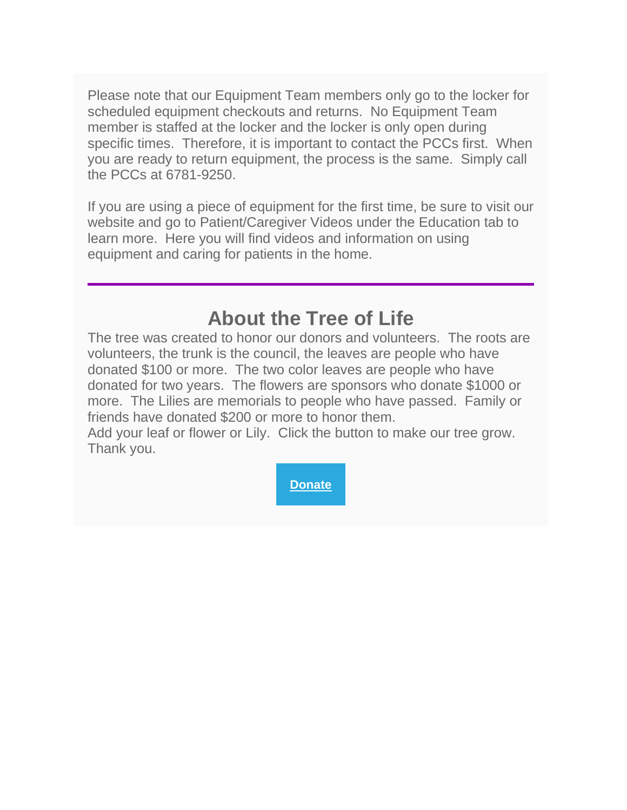Please note that our Equipment Team members only go to the locker for scheduled equipment checkouts and returns. No Equipment Team member is staffed at the locker and the locker is only open during specific times. Therefore, it is important to contact the PCCs first. When you are ready to return equipment, the process is the same. Simply call the PCCs at 6781-9250.

If you are using a piece of equipment for the first time, be sure to visit our website and go to Patient/Caregiver Videos under the Education tab to learn more. Here you will find videos and information on using equipment and caring for patients in the home.

## **About the Tree of Life**

The tree was created to honor our donors and volunteers. The roots are volunteers, the trunk is the council, the leaves are people who have donated \$100 or more. The two color leaves are people who have donated for two years. The flowers are sponsors who donate \$1000 or more. The Lilies are memorials to people who have passed. Family or friends have donated \$200 or more to honor them.

Add your leaf or flower or Lily. Click the button to make our tree grow. Thank you.

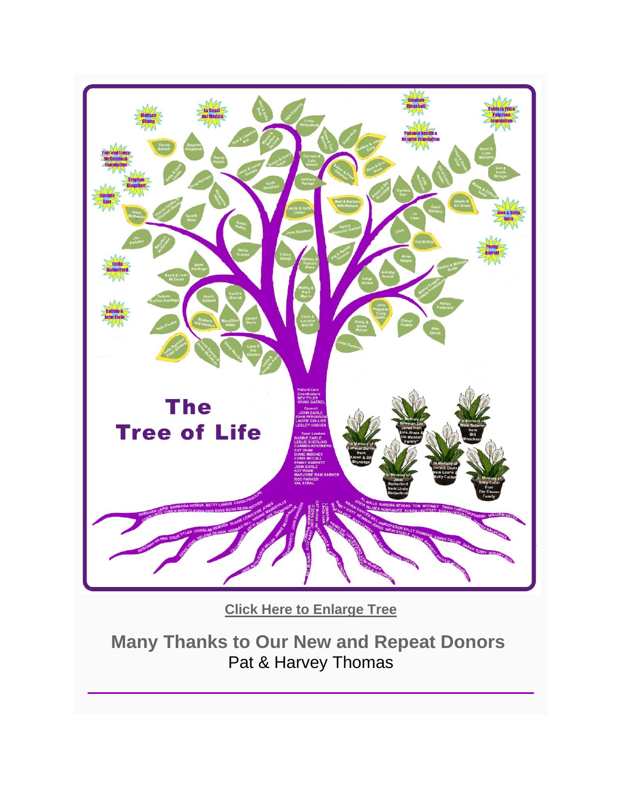

**[Click Here to Enlarge Tree](https://www.boquetehospice.org/lifetree)**

**Many Thanks to Our New and Repeat Donors** Pat & Harvey Thomas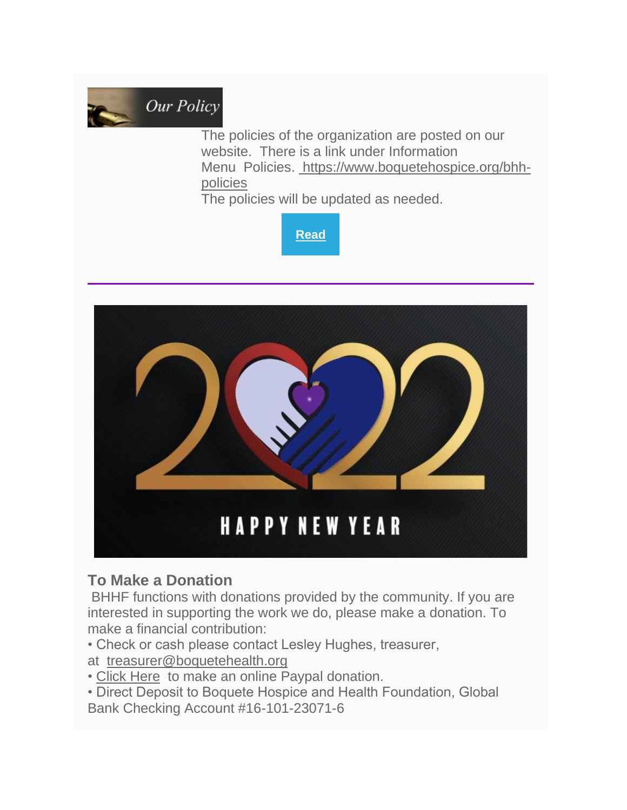

The policies of the organization are posted on our website. There is a link under Information Menu Policies. [https://www.boquetehospice.org/bhh](https://www.boquetehospice.org/bhh-policies)[policies](https://www.boquetehospice.org/bhh-policies)

The policies will be updated as needed.





### **To Make a Donation**

BHHF functions with donations provided by the community. If you are interested in supporting the work we do, please make a donation. To make a financial contribution:

• Check or cash please contact Lesley Hughes, treasurer,

at [treasurer@boquetehealth.org](mailto:treasurer@boquetehealth.org?subject=Donation)

- [Click Here](https://boquetehealth.org/donate-1) to make an online Paypal donation.
- Direct Deposit to Boquete Hospice and Health Foundation, Global

Bank Checking Account #16-101-23071-6